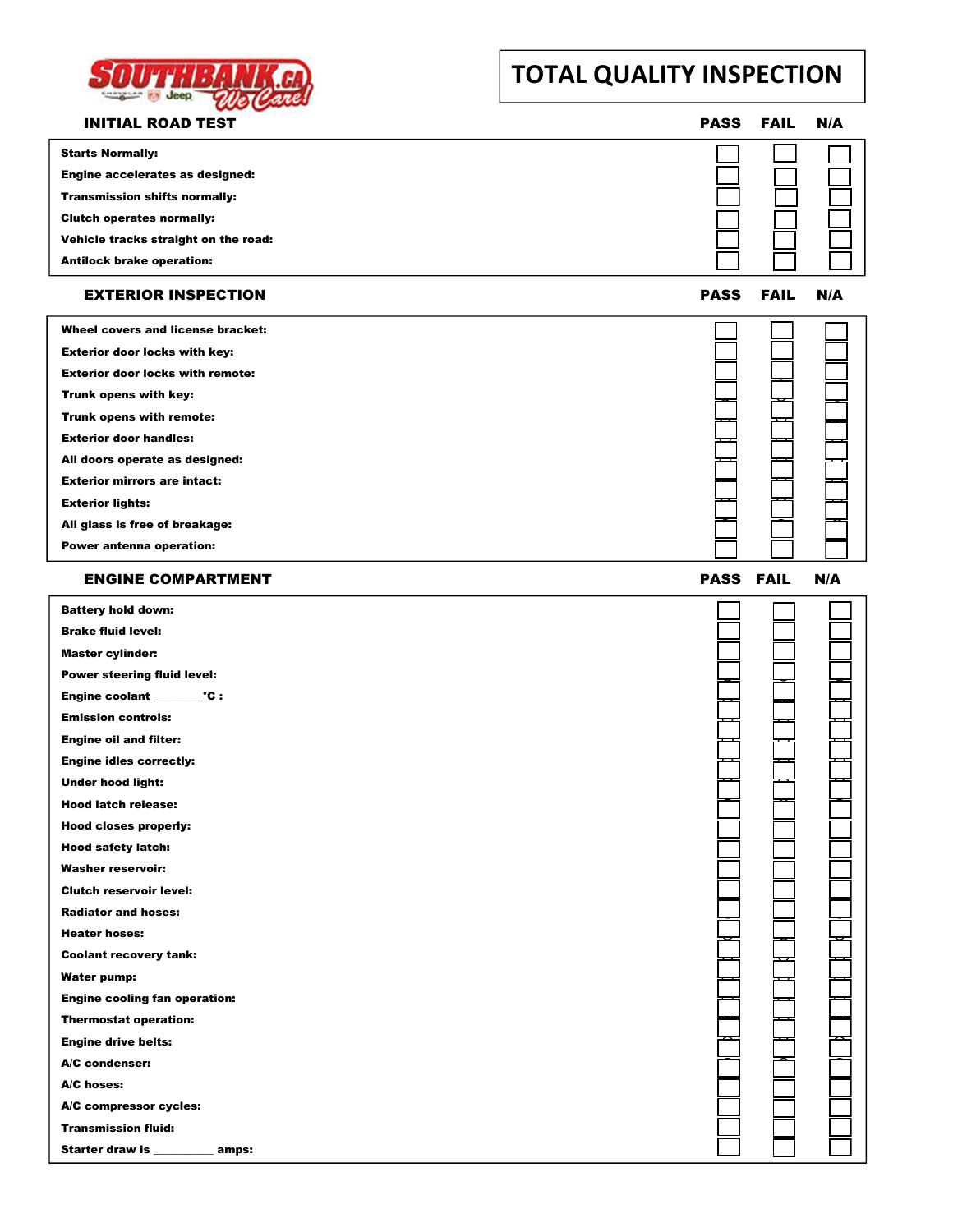

# **TOTAL QUALITY INSPECTION**

| <b>INITIAL ROAD TEST</b>                | <b>PASS</b> | <b>FAIL</b> | N/A |
|-----------------------------------------|-------------|-------------|-----|
| <b>Starts Normally:</b>                 |             |             |     |
| Engine accelerates as designed:         |             |             |     |
| <b>Transmission shifts normally:</b>    |             |             |     |
| <b>Clutch operates normally:</b>        |             |             |     |
| Vehicle tracks straight on the road:    |             |             |     |
| <b>Antilock brake operation:</b>        |             |             |     |
| <b>EXTERIOR INSPECTION</b>              | <b>PASS</b> | <b>FAIL</b> | N/A |
| Wheel covers and license bracket:       |             |             |     |
| <b>Exterior door locks with key:</b>    |             |             |     |
| <b>Exterior door locks with remote:</b> |             |             |     |
| Trunk opens with key:                   |             |             |     |
| Trunk opens with remote:                |             |             |     |
| <b>Exterior door handles:</b>           |             |             |     |
| All doors operate as designed:          |             |             |     |
| <b>Exterior mirrors are intact:</b>     |             |             |     |
| <b>Exterior lights:</b>                 |             |             |     |
| All glass is free of breakage:          |             |             |     |
| Power antenna operation:                |             |             |     |
|                                         |             |             |     |
| <b>ENGINE COMPARTMENT</b>               | <b>PASS</b> | <b>FAIL</b> | N/A |
| <b>Battery hold down:</b>               |             |             |     |
| <b>Brake fluid level:</b>               |             |             |     |
| <b>Master cylinder:</b>                 |             |             |     |
| Power steering fluid level:             |             |             |     |
|                                         |             |             |     |
| <b>Emission controls:</b>               |             |             |     |
| <b>Engine oil and filter:</b>           |             |             |     |
| <b>Engine idles correctly:</b>          |             |             |     |
| <b>Under hood light:</b>                |             |             |     |
| <b>Hood latch release:</b>              |             |             |     |
| <b>Hood closes properly:</b>            |             |             |     |
| <b>Hood safety latch:</b>               |             |             |     |
| <b>Washer reservoir:</b>                |             |             |     |
| <b>Clutch reservoir level:</b>          |             |             |     |
| <b>Radiator and hoses:</b>              |             |             |     |
| <b>Heater hoses:</b>                    |             |             |     |
| <b>Coolant recovery tank:</b>           |             |             |     |
| <b>Water pump:</b>                      |             |             |     |
| <b>Engine cooling fan operation:</b>    |             |             |     |
| <b>Thermostat operation:</b>            |             |             |     |
| <b>Engine drive belts:</b>              |             |             |     |
| A/C condenser:                          |             |             |     |
| A/C hoses:                              |             |             |     |
| A/C compressor cycles:                  |             |             |     |
| <b>Transmission fluid:</b>              |             |             |     |
| Starter draw is<br>amps:                |             |             |     |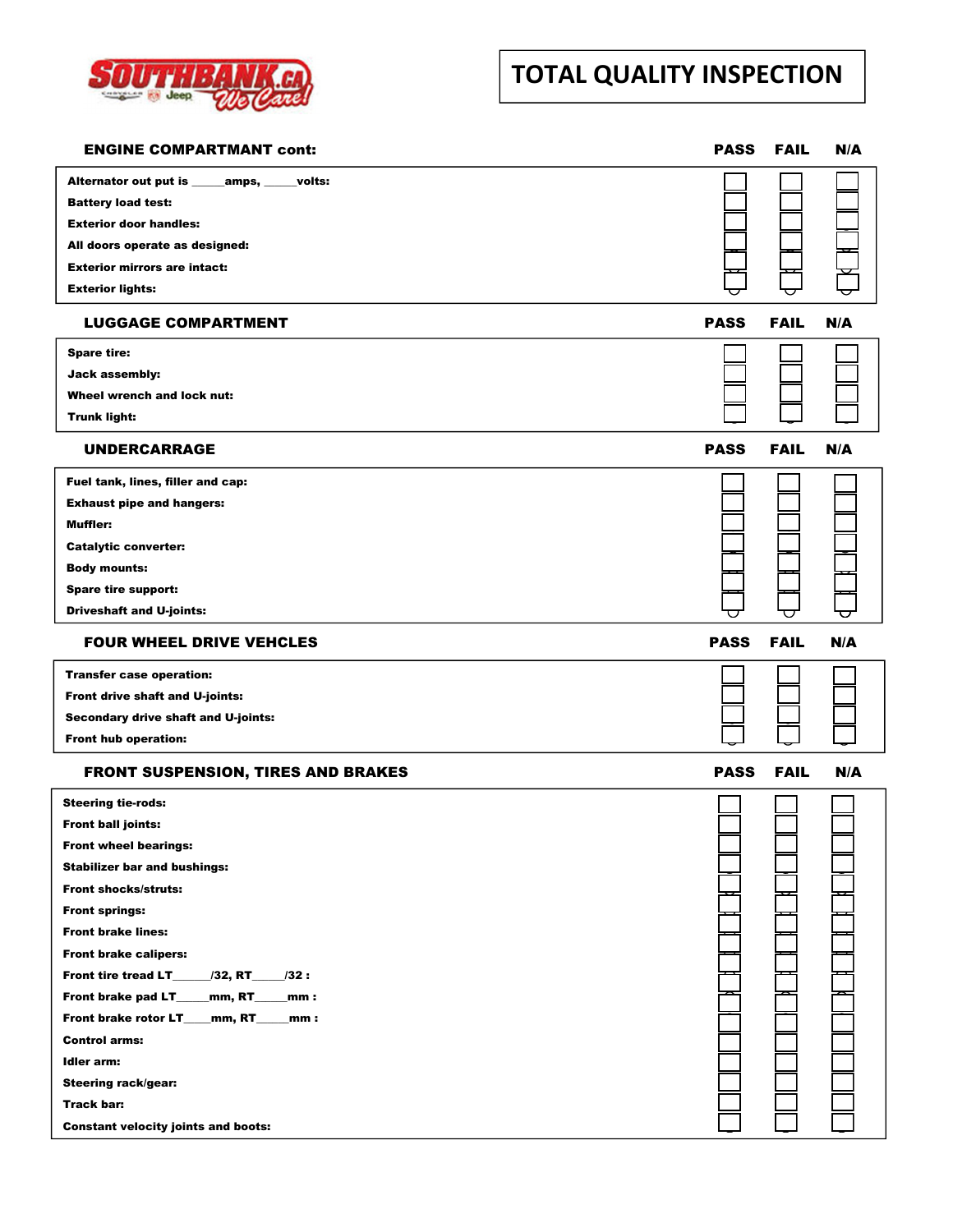

# **TOTAL QUALITY INSPECTION**

| <b>ENGINE COMPARTMANT cont:</b>                    | <b>PASS</b> | <b>FAIL</b> | N/A |
|----------------------------------------------------|-------------|-------------|-----|
| Alternator out put is ______ amps, _____<br>volts: |             |             |     |
| <b>Battery load test:</b>                          |             |             |     |
| <b>Exterior door handles:</b>                      |             |             |     |
| All doors operate as designed:                     |             |             |     |
| <b>Exterior mirrors are intact:</b>                |             |             |     |
| <b>Exterior lights:</b>                            |             |             |     |
| <b>LUGGAGE COMPARTMENT</b>                         | <b>PASS</b> | <b>FAIL</b> | N/A |
| <b>Spare tire:</b>                                 |             |             |     |
| <b>Jack assembly:</b>                              |             |             |     |
| Wheel wrench and lock nut:                         |             |             |     |
| <b>Trunk light:</b>                                |             |             |     |
| UNDERCARRAGE                                       | <b>PASS</b> | <b>FAIL</b> | N/A |
| Fuel tank, lines, filler and cap:                  |             |             |     |
| <b>Exhaust pipe and hangers:</b>                   |             |             |     |
| Muffler:                                           |             |             |     |
| <b>Catalytic converter:</b>                        |             |             |     |
| <b>Body mounts:</b>                                |             |             |     |
| Spare tire support:                                |             |             |     |
| <b>Driveshaft and U-joints:</b>                    |             |             |     |
| <b>FOUR WHEEL DRIVE VEHCLES</b>                    | <b>PASS</b> | <b>FAIL</b> | N/A |
| <b>Transfer case operation:</b>                    |             |             |     |
| Front drive shaft and U-joints:                    |             |             |     |
| Secondary drive shaft and U-joints:                |             |             |     |
| <b>Front hub operation:</b>                        |             |             |     |
| <b>FRONT SUSPENSION, TIRES AND BRAKES</b>          | <b>PASS</b> | <b>FAIL</b> | N/A |
| <b>Steering tie-rods:</b>                          |             |             |     |
| <b>Front ball joints:</b>                          |             |             |     |
| <b>Front wheel bearings:</b>                       |             |             |     |
| <b>Stabilizer bar and bushings:</b>                |             |             |     |
| <b>Front shocks/struts:</b>                        |             |             |     |
| <b>Front springs:</b>                              |             |             |     |
| <b>Front brake lines:</b>                          |             |             |     |
| <b>Front brake calipers:</b>                       |             |             |     |
| /32:                                               |             |             |     |
| Front brake pad LT____mm, RT____mm:                |             |             |     |
| Front brake rotor LT__mm, RT__mm :                 |             |             |     |
| <b>Control arms:</b>                               |             |             |     |
| Idler arm:                                         |             |             |     |
| <b>Steering rack/gear:</b>                         |             |             |     |
| Track bar:                                         |             |             |     |
| <b>Constant velocity joints and boots:</b>         |             |             |     |